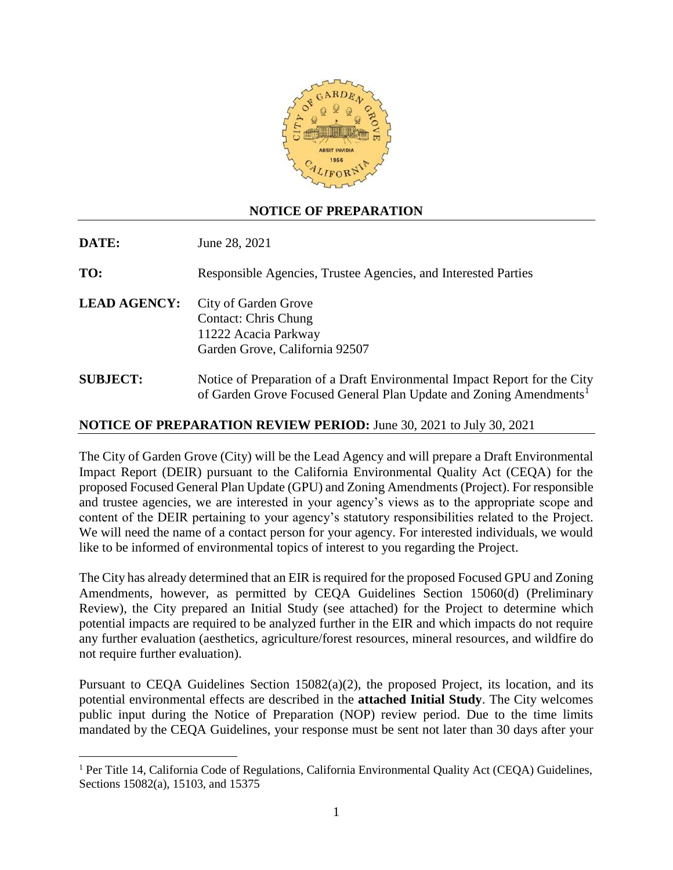

## **NOTICE OF PREPARATION**

| DATE:               | June 28, 2021                                                                                                 |
|---------------------|---------------------------------------------------------------------------------------------------------------|
| TO:                 | Responsible Agencies, Trustee Agencies, and Interested Parties                                                |
| <b>LEAD AGENCY:</b> | City of Garden Grove<br><b>Contact: Chris Chung</b><br>11222 Acacia Parkway<br>Garden Grove, California 92507 |
| <b>SUBJECT:</b>     | Notice of Preparation of a Draft Environmental Impact Report for the City                                     |

## **NOTICE OF PREPARATION REVIEW PERIOD:** June 30, 2021 to July 30, 2021

The City of Garden Grove (City) will be the Lead Agency and will prepare a Draft Environmental Impact Report (DEIR) pursuant to the California Environmental Quality Act (CEQA) for the proposed Focused General Plan Update (GPU) and Zoning Amendments (Project). For responsible and trustee agencies, we are interested in your agency's views as to the appropriate scope and content of the DEIR pertaining to your agency's statutory responsibilities related to the Project. We will need the name of a contact person for your agency. For interested individuals, we would like to be informed of environmental topics of interest to you regarding the Project.

of Garden Grove Focused General Plan Update and Zoning Amendments<sup>1</sup>

The City has already determined that an EIR is required for the proposed Focused GPU and Zoning Amendments, however, as permitted by CEQA Guidelines Section 15060(d) (Preliminary Review), the City prepared an Initial Study (see attached) for the Project to determine which potential impacts are required to be analyzed further in the EIR and which impacts do not require any further evaluation (aesthetics, agriculture/forest resources, mineral resources, and wildfire do not require further evaluation).

Pursuant to CEQA Guidelines Section 15082(a)(2), the proposed Project, its location, and its potential environmental effects are described in the **attached Initial Study**. The City welcomes public input during the Notice of Preparation (NOP) review period. Due to the time limits mandated by the CEQA Guidelines, your response must be sent not later than 30 days after your

 $\overline{a}$ 

<sup>&</sup>lt;sup>1</sup> Per Title 14, California Code of Regulations, California Environmental Quality Act (CEQA) Guidelines, Sections 15082(a), 15103, and 15375